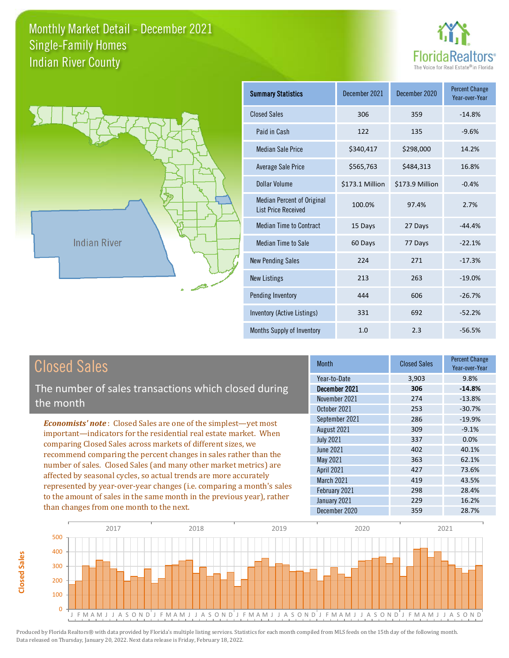



**Closed Sales**

**Closed Sales** 

| <b>Summary Statistics</b>                                       | December 2021   | December 2020   | <b>Percent Change</b><br>Year-over-Year |
|-----------------------------------------------------------------|-----------------|-----------------|-----------------------------------------|
| <b>Closed Sales</b>                                             | 306             | 359             | $-14.8%$                                |
| Paid in Cash                                                    | 122             | 135             | $-9.6%$                                 |
| <b>Median Sale Price</b>                                        | \$340,417       | \$298,000       | 14.2%                                   |
| Average Sale Price                                              | \$565,763       | \$484,313       | 16.8%                                   |
| Dollar Volume                                                   | \$173.1 Million | \$173.9 Million | $-0.4%$                                 |
| <b>Median Percent of Original</b><br><b>List Price Received</b> | 100.0%          | 97.4%           | 2.7%                                    |
| <b>Median Time to Contract</b>                                  | 15 Days         | 27 Days         | $-44.4%$                                |
| <b>Median Time to Sale</b>                                      | 60 Days         | 77 Days         | $-22.1%$                                |
| <b>New Pending Sales</b>                                        | 224             | 271             | $-17.3%$                                |
| <b>New Listings</b>                                             | 213             | 263             | $-19.0%$                                |
| Pending Inventory                                               | 444             | 606             | $-26.7%$                                |
| Inventory (Active Listings)                                     | 331             | 692             | $-52.2%$                                |
| Months Supply of Inventory                                      | 1.0             | 2.3             | $-56.5%$                                |

| <b>Closed Sales</b>                                                    | <b>Month</b>      | <b>Closed Sales</b> | <b>Percent Change</b><br>Year-over-Year |
|------------------------------------------------------------------------|-------------------|---------------------|-----------------------------------------|
|                                                                        | Year-to-Date      | 3,903               | 9.8%                                    |
| The number of sales transactions which closed during                   | December 2021     | 306                 | $-14.8%$                                |
| the month                                                              | November 2021     | 274                 | $-13.8%$                                |
|                                                                        | October 2021      | 253                 | $-30.7%$                                |
| <b>Economists' note:</b> Closed Sales are one of the simplest—yet most | September 2021    | 286                 | $-19.9%$                                |
| important-indicators for the residential real estate market. When      | August 2021       | 309                 | $-9.1%$                                 |
| comparing Closed Sales across markets of different sizes, we           | <b>July 2021</b>  | 337                 | $0.0\%$                                 |
| recommend comparing the percent changes in sales rather than the       | June 2021         | 402                 | 40.1%                                   |
| number of sales. Closed Sales (and many other market metrics) are      | May 2021          | 363                 | 62.1%                                   |
| affected by seasonal cycles, so actual trends are more accurately      | <b>April 2021</b> | 427                 | 73.6%                                   |
|                                                                        | March 2021        | 419                 | 43.5%                                   |
| represented by year-over-year changes (i.e. comparing a month's sales  | February 2021     | 298                 | 28.4%                                   |
| to the amount of sales in the same month in the previous year), rather | January 2021      | 229                 | 16.2%                                   |
| than changes from one month to the next.                               | December 2020     | 359                 | 28.7%                                   |

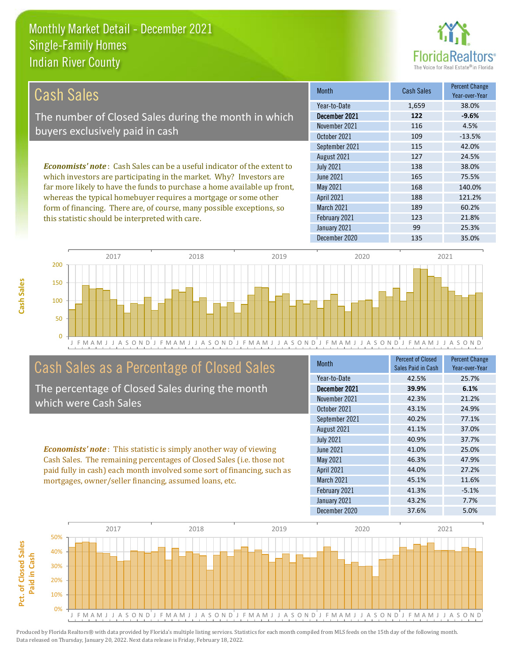this statistic should be interpreted with care.



123 21.8%

| <b>Cash Sales</b>                                                              | <b>Month</b>      | <b>Cash Sales</b> | <b>Percent Change</b><br>Year-over-Year |
|--------------------------------------------------------------------------------|-------------------|-------------------|-----------------------------------------|
|                                                                                | Year-to-Date      | 1,659             | 38.0%                                   |
| The number of Closed Sales during the month in which                           | December 2021     | 122               | $-9.6%$                                 |
| buyers exclusively paid in cash                                                | November 2021     | 116               | 4.5%                                    |
|                                                                                | October 2021      | 109               | $-13.5%$                                |
|                                                                                | September 2021    | 115               | 42.0%                                   |
|                                                                                | August 2021       | 127               | 24.5%                                   |
| <b>Economists' note:</b> Cash Sales can be a useful indicator of the extent to | <b>July 2021</b>  | 138               | 38.0%                                   |
| which investors are participating in the market. Why? Investors are            | June 2021         | 165               | 75.5%                                   |
| far more likely to have the funds to purchase a home available up front,       | May 2021          | 168               | 140.0%                                  |
| whereas the typical homebuyer requires a mortgage or some other                | <b>April 2021</b> | 188               | 121.2%                                  |
| form of financing. There are, of course, many possible exceptions, so          | <b>March 2021</b> | 189               | 60.2%                                   |

February 2021



# Cash Sales as a Percentage of Closed Sales

The percentage of Closed Sales during the month which were Cash Sales

*Economists' note* : This statistic is simply another way of viewing paid fully in cash) each month involved some sort of financing, such as

| <b>Month</b>      | <b>Percent of Closed</b><br>Sales Paid in Cash | <b>Percent Change</b><br>Year-over-Year |
|-------------------|------------------------------------------------|-----------------------------------------|
| Year-to-Date      | 42.5%                                          | 25.7%                                   |
| December 2021     | 39.9%                                          | 6.1%                                    |
| November 2021     | 42.3%                                          | 21.2%                                   |
| October 2021      | 43.1%                                          | 24.9%                                   |
| September 2021    | 40.2%                                          | 77.1%                                   |
| August 2021       | 41.1%                                          | 37.0%                                   |
| <b>July 2021</b>  | 40.9%                                          | 37.7%                                   |
| June 2021         | 41.0%                                          | 25.0%                                   |
| May 2021          | 46.3%                                          | 47.9%                                   |
| <b>April 2021</b> | 44.0%                                          | 27.2%                                   |
| March 2021        | 45.1%                                          | 11.6%                                   |
| February 2021     | 41.3%                                          | $-5.1%$                                 |
| January 2021      | 43.2%                                          | 7.7%                                    |
| December 2020     | 37.6%                                          | 5.0%                                    |

January 2021 99 25.3%



Cash Sales. The remaining percentages of Closed Sales (i.e. those not mortgages, owner/seller financing, assumed loans, etc.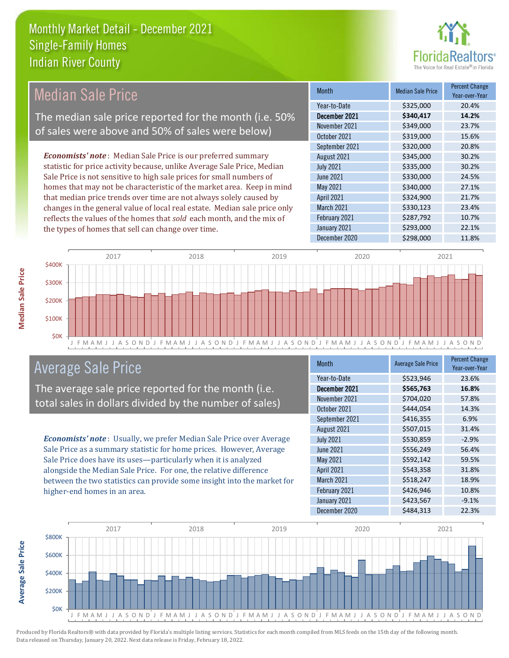

# Median Sale Price

The median sale price reported for the month (i.e. 50% of sales were above and 50% of sales were below)

*Economists' note* : Median Sale Price is our preferred summary statistic for price activity because, unlike Average Sale Price, Median Sale Price is not sensitive to high sale prices for small numbers of homes that may not be characteristic of the market area. Keep in mind that median price trends over time are not always solely caused by changes in the general value of local real estate. Median sale price only reflects the values of the homes that *sold* each month, and the mix of the types of homes that sell can change over time.

| Month             | <b>Median Sale Price</b> | <b>Percent Change</b><br>Year-over-Year |
|-------------------|--------------------------|-----------------------------------------|
| Year-to-Date      | \$325,000                | 20.4%                                   |
| December 2021     | \$340,417                | 14.2%                                   |
| November 2021     | \$349,000                | 23.7%                                   |
| October 2021      | \$319,000                | 15.6%                                   |
| September 2021    | \$320,000                | 20.8%                                   |
| August 2021       | \$345,000                | 30.2%                                   |
| <b>July 2021</b>  | \$335,000                | 30.2%                                   |
| <b>June 2021</b>  | \$330,000                | 24.5%                                   |
| May 2021          | \$340,000                | 27.1%                                   |
| <b>April 2021</b> | \$324,900                | 21.7%                                   |
| March 2021        | \$330,123                | 23.4%                                   |
| February 2021     | \$287,792                | 10.7%                                   |
| January 2021      | \$293,000                | 22.1%                                   |
| December 2020     | \$298,000                | 11.8%                                   |



### Average Sale Price

The average sale price reported for the month (i.e. total sales in dollars divided by the number of sales)

*Economists' note* : Usually, we prefer Median Sale Price over Average Sale Price as a summary statistic for home prices. However, Average Sale Price does have its uses—particularly when it is analyzed alongside the Median Sale Price. For one, the relative difference between the two statistics can provide some insight into the market for higher-end homes in an area.

| <b>Month</b>     | <b>Average Sale Price</b> | <b>Percent Change</b><br>Year-over-Year |
|------------------|---------------------------|-----------------------------------------|
| Year-to-Date     | \$523,946                 | 23.6%                                   |
| December 2021    | \$565,763                 | 16.8%                                   |
| November 2021    | \$704,020                 | 57.8%                                   |
| October 2021     | \$444.054                 | 14.3%                                   |
| September 2021   | \$416,355                 | 6.9%                                    |
| August 2021      | \$507,015                 | 31.4%                                   |
| <b>July 2021</b> | \$530,859                 | $-2.9%$                                 |
| <b>June 2021</b> | \$556,249                 | 56.4%                                   |
| May 2021         | \$592,142                 | 59.5%                                   |
| April 2021       | \$543,358                 | 31.8%                                   |
| March 2021       | \$518,247                 | 18.9%                                   |
| February 2021    | \$426,946                 | 10.8%                                   |
| January 2021     | \$423,567                 | $-9.1%$                                 |
| December 2020    | \$484,313                 | 22.3%                                   |



Produced by Florida Realtors® with data provided by Florida's multiple listing services. Statistics for each month compiled from MLS feeds on the 15th day of the following month. Data released on Thursday, January 20, 2022. Next data release is Friday, February 18, 2022.

**Average Sale Price**

**Average Sale Price**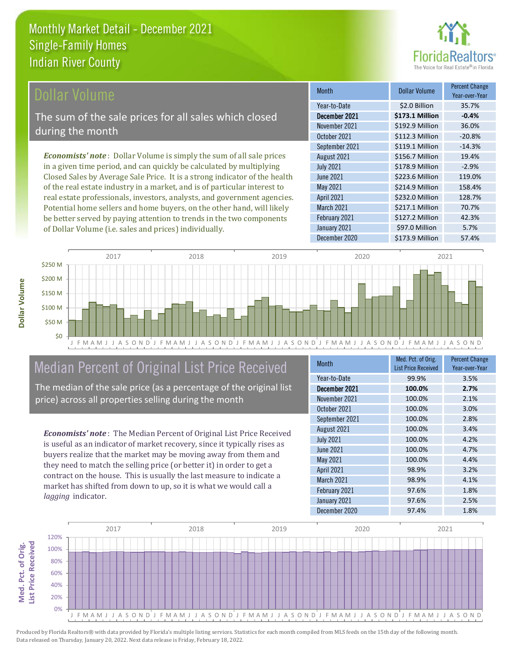

#### **Ollar Volume**

The sum of the sale prices for all sales which closed during the month

*Economists' note* : Dollar Volume is simply the sum of all sale prices in a given time period, and can quickly be calculated by multiplying Closed Sales by Average Sale Price. It is a strong indicator of the health of the real estate industry in a market, and is of particular interest to real estate professionals, investors, analysts, and government agencies. Potential home sellers and home buyers, on the other hand, will likely be better served by paying attention to trends in the two components of Dollar Volume (i.e. sales and prices) individually.

| <b>Month</b>      | Dollar Volume   | <b>Percent Change</b><br>Year-over-Year |
|-------------------|-----------------|-----------------------------------------|
| Year-to-Date      | \$2.0 Billion   | 35.7%                                   |
| December 2021     | \$173.1 Million | $-0.4%$                                 |
| November 2021     | \$192.9 Million | 36.0%                                   |
| October 2021      | \$112.3 Million | $-20.8%$                                |
| September 2021    | \$119.1 Million | $-14.3%$                                |
| August 2021       | \$156.7 Million | 19.4%                                   |
| <b>July 2021</b>  | \$178.9 Million | $-2.9%$                                 |
| <b>June 2021</b>  | \$223.6 Million | 119.0%                                  |
| May 2021          | \$214.9 Million | 158.4%                                  |
| <b>April 2021</b> | \$232.0 Million | 128.7%                                  |
| March 2021        | \$217.1 Million | 70.7%                                   |
| February 2021     | \$127.2 Million | 42.3%                                   |
| January 2021      | \$97.0 Million  | 5.7%                                    |
| December 2020     | \$173.9 Million | 57.4%                                   |



# Median Percent of Original List Price Received

The median of the sale price (as a percentage of the original list price) across all properties selling during the month

*Economists' note* : The Median Percent of Original List Price Received is useful as an indicator of market recovery, since it typically rises as buyers realize that the market may be moving away from them and they need to match the selling price (or better it) in order to get a contract on the house. This is usually the last measure to indicate a market has shifted from down to up, so it is what we would call a *lagging* indicator.

| <b>Month</b>      | Med. Pct. of Orig.<br><b>List Price Received</b> | <b>Percent Change</b><br>Year-over-Year |
|-------------------|--------------------------------------------------|-----------------------------------------|
| Year-to-Date      | 99.9%                                            | 3.5%                                    |
| December 2021     | 100.0%                                           | 2.7%                                    |
| November 2021     | 100.0%                                           | 2.1%                                    |
| October 2021      | 100.0%                                           | 3.0%                                    |
| September 2021    | 100.0%                                           | 2.8%                                    |
| August 2021       | 100.0%                                           | 3.4%                                    |
| <b>July 2021</b>  | 100.0%                                           | 4.2%                                    |
| <b>June 2021</b>  | 100.0%                                           | 4.7%                                    |
| May 2021          | 100.0%                                           | 4.4%                                    |
| <b>April 2021</b> | 98.9%                                            | 3.2%                                    |
| <b>March 2021</b> | 98.9%                                            | 4.1%                                    |
| February 2021     | 97.6%                                            | 1.8%                                    |
| January 2021      | 97.6%                                            | 2.5%                                    |
| December 2020     | 97.4%                                            | 1.8%                                    |

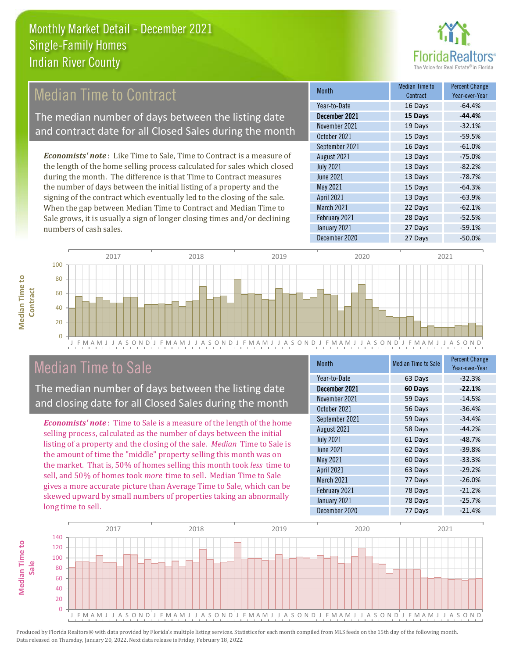

# **Median Time to Contract**

The median number of days between the listing date and contract date for all Closed Sales during the month

*Economists' note* : Like Time to Sale, Time to Contract is a measure of the length of the home selling process calculated for sales which closed during the month. The difference is that Time to Contract measures the number of days between the initial listing of a property and the signing of the contract which eventually led to the closing of the sale. When the gap between Median Time to Contract and Median Time to Sale grows, it is usually a sign of longer closing times and/or declining numbers of cash sales.

| <b>Month</b>      | <b>Median Time to</b><br>Contract | <b>Percent Change</b><br>Year-over-Year |
|-------------------|-----------------------------------|-----------------------------------------|
| Year-to-Date      | 16 Days                           | $-64.4%$                                |
| December 2021     | 15 Days                           | $-44.4%$                                |
| November 2021     | 19 Days                           | $-32.1%$                                |
| October 2021      | 15 Days                           | $-59.5%$                                |
| September 2021    | 16 Days                           | $-61.0%$                                |
| August 2021       | 13 Days                           | $-75.0%$                                |
| <b>July 2021</b>  | 13 Days                           | $-82.2%$                                |
| <b>June 2021</b>  | 13 Days                           | $-78.7%$                                |
| May 2021          | 15 Days                           | $-64.3%$                                |
| <b>April 2021</b> | 13 Days                           | $-63.9%$                                |
| <b>March 2021</b> | 22 Days                           | $-62.1%$                                |
| February 2021     | 28 Days                           | $-52.5%$                                |
| January 2021      | 27 Days                           | $-59.1%$                                |
| December 2020     | 27 Days                           | $-50.0%$                                |



### Median Time to Sale

**Median Time to** 

**Median Time to** 

The median number of days between the listing date and closing date for all Closed Sales during the month

*Economists' note* : Time to Sale is a measure of the length of the home selling process, calculated as the number of days between the initial listing of a property and the closing of the sale. *Median* Time to Sale is the amount of time the "middle" property selling this month was on the market. That is, 50% of homes selling this month took *less* time to sell, and 50% of homes took *more* time to sell. Median Time to Sale gives a more accurate picture than Average Time to Sale, which can be skewed upward by small numbers of properties taking an abnormally long time to sell.

| Month             | <b>Median Time to Sale</b> | <b>Percent Change</b><br>Year-over-Year |
|-------------------|----------------------------|-----------------------------------------|
| Year-to-Date      | 63 Days                    | $-32.3%$                                |
| December 2021     | 60 Days                    | $-22.1%$                                |
| November 2021     | 59 Days                    | $-14.5%$                                |
| October 2021      | 56 Days                    | $-36.4%$                                |
| September 2021    | 59 Days                    | $-34.4%$                                |
| August 2021       | 58 Days                    | $-44.2%$                                |
| <b>July 2021</b>  | 61 Days                    | $-48.7%$                                |
| June 2021         | 62 Days                    | $-39.8%$                                |
| May 2021          | 60 Days                    | $-33.3%$                                |
| <b>April 2021</b> | 63 Days                    | $-29.2%$                                |
| March 2021        | 77 Days                    | $-26.0%$                                |
| February 2021     | 78 Days                    | $-21.2%$                                |
| January 2021      | 78 Days                    | $-25.7%$                                |
| December 2020     | 77 Days                    | $-21.4%$                                |

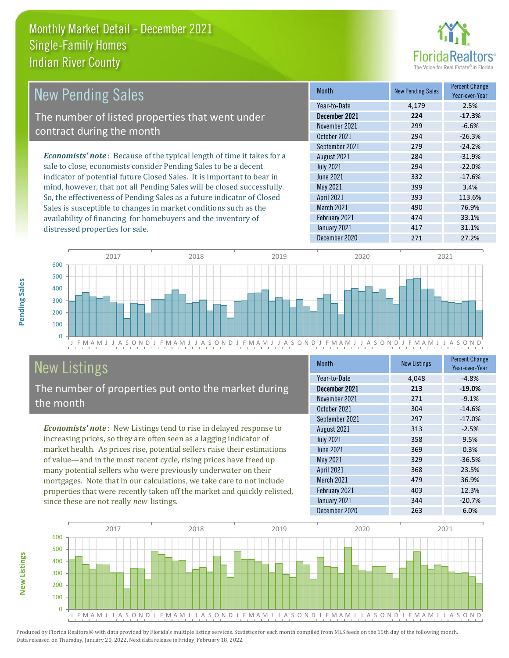

| <b>New Pending Sales</b>                                                       | <b>Month</b>      | <b>New Pending Sales</b> | <b>Percent Change</b><br>Year-over-Year |
|--------------------------------------------------------------------------------|-------------------|--------------------------|-----------------------------------------|
|                                                                                | Year-to-Date      | 4.179                    | 2.5%                                    |
| The number of listed properties that went under                                | December 2021     | 224                      | $-17.3%$                                |
| contract during the month                                                      | November 2021     | 299                      | $-6.6%$                                 |
|                                                                                | October 2021      | 294                      | $-26.3%$                                |
|                                                                                | September 2021    | 279                      | $-24.2%$                                |
| <b>Economists' note</b> : Because of the typical length of time it takes for a | August 2021       | 284                      | $-31.9%$                                |
| sale to close, economists consider Pending Sales to be a decent                | <b>July 2021</b>  | 294                      | $-22.0%$                                |
| indicator of potential future Closed Sales. It is important to bear in         | June 2021         | 332                      | $-17.6%$                                |
| mind, however, that not all Pending Sales will be closed successfully.         | May 2021          | 399                      | 3.4%                                    |
| So, the effectiveness of Pending Sales as a future indicator of Closed         | <b>April 2021</b> | 393                      | 113.6%                                  |
| Sales is susceptible to changes in market conditions such as the               | March 2021        | 490                      | 76.9%                                   |

J F M A M J J A S O N D J F M A M J J A S O N D J F M A M J J A S O N D J F M A M J J A S O N D J F M A M J J A S O N D  $\overline{0}$ 100 200 300 400 500 600 2017 2018 2019 2020 2021

# New Listings

distressed properties for sale.

The number of properties put onto the market during the month

availability of financing for homebuyers and the inventory of

*Economists' note* : New Listings tend to rise in delayed response to increasing prices, so they are often seen as a lagging indicator of market health. As prices rise, potential sellers raise their estimations of value—and in the most recent cycle, rising prices have freed up many potential sellers who were previously underwater on their mortgages. Note that in our calculations, we take care to not include properties that were recently taken off the market and quickly relisted, since these are not really *new* listings.

| <b>Month</b>      | <b>New Listings</b> | <b>Percent Change</b><br>Year-over-Year |
|-------------------|---------------------|-----------------------------------------|
| Year-to-Date      | 4,048               | $-4.8%$                                 |
| December 2021     | 213                 | $-19.0%$                                |
| November 2021     | 271                 | $-9.1%$                                 |
| October 2021      | 304                 | $-14.6%$                                |
| September 2021    | 297                 | $-17.0%$                                |
| August 2021       | 313                 | $-2.5%$                                 |
| <b>July 2021</b>  | 358                 | 9.5%                                    |
| <b>June 2021</b>  | 369                 | 0.3%                                    |
| May 2021          | 329                 | $-36.5%$                                |
| <b>April 2021</b> | 368                 | 23.5%                                   |
| <b>March 2021</b> | 479                 | 36.9%                                   |
| February 2021     | 403                 | 12.3%                                   |
| January 2021      | 344                 | $-20.7%$                                |
| December 2020     | 263                 | 6.0%                                    |

February 2021 **474** 33.1% January 2021 **417** 417 31.1% December 2020 271 27.2%



Produced by Florida Realtors® with data provided by Florida's multiple listing services. Statistics for each month compiled from MLS feeds on the 15th day of the following month. Data released on Thursday, January 20, 2022. Next data release is Friday, February 18, 2022.

**New Listings**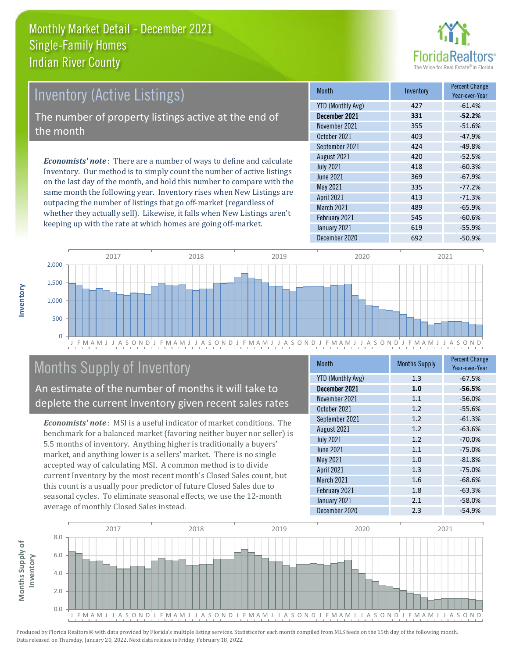

## Inventory (Active Listings)

The number of property listings active at the end of the month

*Economists' note* : There are a number of ways to define and calculate Inventory. Our method is to simply count the number of active listings on the last day of the month, and hold this number to compare with the same month the following year. Inventory rises when New Listings are outpacing the number of listings that go off-market (regardless of whether they actually sell). Likewise, it falls when New Listings aren't keeping up with the rate at which homes are going off-market.

| <b>Month</b>             | Inventory | <b>Percent Change</b><br>Year-over-Year |
|--------------------------|-----------|-----------------------------------------|
| <b>YTD (Monthly Avg)</b> | 427       | $-61.4%$                                |
| December 2021            | 331       | $-52.2%$                                |
| November 2021            | 355       | $-51.6%$                                |
| October 2021             | 403       | $-47.9%$                                |
| September 2021           | 424       | $-49.8%$                                |
| August 2021              | 420       | $-52.5%$                                |
| <b>July 2021</b>         | 418       | $-60.3%$                                |
| <b>June 2021</b>         | 369       | $-67.9%$                                |
| May 2021                 | 335       | $-77.2%$                                |
| <b>April 2021</b>        | 413       | $-71.3%$                                |
| March 2021               | 489       | $-65.9%$                                |
| February 2021            | 545       | $-60.6%$                                |
| January 2021             | 619       | $-55.9%$                                |
| December 2020            | 692       | $-50.9%$                                |



# Months Supply of Inventory

An estimate of the number of months it will take to deplete the current Inventory given recent sales rates

*Economists' note* : MSI is a useful indicator of market conditions. The benchmark for a balanced market (favoring neither buyer nor seller) is 5.5 months of inventory. Anything higher is traditionally a buyers' market, and anything lower is a sellers' market. There is no single accepted way of calculating MSI. A common method is to divide current Inventory by the most recent month's Closed Sales count, but this count is a usually poor predictor of future Closed Sales due to seasonal cycles. To eliminate seasonal effects, we use the 12-month average of monthly Closed Sales instead.

| <b>Month</b>             | <b>Months Supply</b> | <b>Percent Change</b><br>Year-over-Year |
|--------------------------|----------------------|-----------------------------------------|
| <b>YTD (Monthly Avg)</b> | 1.3                  | $-67.5%$                                |
| December 2021            | 1.0                  | $-56.5%$                                |
| November 2021            | 1.1                  | $-56.0%$                                |
| October 2021             | 1.2                  | $-55.6%$                                |
| September 2021           | 1.2                  | $-61.3%$                                |
| August 2021              | 1.2                  | $-63.6%$                                |
| <b>July 2021</b>         | 1.2                  | $-70.0%$                                |
| <b>June 2021</b>         | 1.1                  | $-75.0%$                                |
| May 2021                 | 1.0                  | $-81.8%$                                |
| <b>April 2021</b>        | 1.3                  | $-75.0%$                                |
| March 2021               | 1.6                  | $-68.6%$                                |
| February 2021            | 1.8                  | $-63.3%$                                |
| January 2021             | 2.1                  | $-58.0%$                                |
| December 2020            | 2.3                  | $-54.9%$                                |

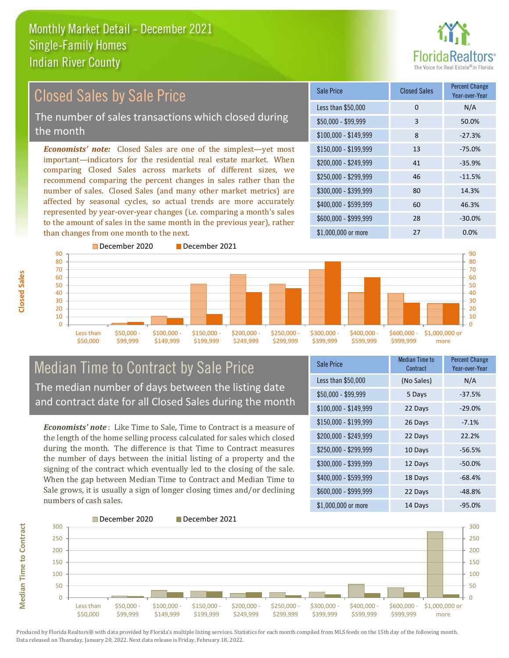

#### *Economists' note:* Closed Sales are one of the simplest—yet most important—indicators for the residential real estate market. When comparing Closed Sales across markets of different sizes, we recommend comparing the percent changes in sales rather than the number of sales. Closed Sales (and many other market metrics) are affected by seasonal cycles, so actual trends are more accurately represented by year-over-year changes (i.e. comparing a month's sales to the amount of sales in the same month in the previous year), rather than changes from one month to the next. \$1,000,000 or more 27 0.0%  $$250,000 - $299,999$  46 -11.5% \$300,000 - \$399,999 80 14.3% \$400,000 - \$599,999 60 46.3% \$600,000 - \$999,999 28 -30.0% \$150,000 - \$199,999 13 -75.0%  $$200.000 - $249.999$  41  $-35.9\%$ \$100,000 - \$149,999 8 -27.3% Sale Price Closed Sales Percent Change Year-over-Year Less than \$50,000 0 0 N/A \$50,000 - \$99,999 3 50.0% December 2020 December 2021 Closed Sales by Sale Price The number of sales transactions which closed during the month



#### Median Time to Contract by Sale Price The median number of days between the listing date and contract date for all Closed Sales during the month

*Economists' note* : Like Time to Sale, Time to Contract is a measure of the length of the home selling process calculated for sales which closed during the month. The difference is that Time to Contract measures the number of days between the initial listing of a property and the signing of the contract which eventually led to the closing of the sale. When the gap between Median Time to Contract and Median Time to Sale grows, it is usually a sign of longer closing times and/or declining numbers of cash sales.

| <b>Sale Price</b>     | Median Time to<br>Contract | <b>Percent Change</b><br>Year-over-Year |
|-----------------------|----------------------------|-----------------------------------------|
| Less than \$50,000    | (No Sales)                 | N/A                                     |
| \$50,000 - \$99,999   | 5 Days                     | $-37.5%$                                |
| $$100,000 - $149,999$ | 22 Days                    | $-29.0%$                                |
| $$150,000 - $199,999$ | 26 Days                    | $-7.1%$                                 |
| \$200,000 - \$249,999 | 22 Days                    | 22.2%                                   |
| \$250,000 - \$299,999 | 10 Days                    | $-56.5%$                                |
| \$300,000 - \$399,999 | 12 Days                    | $-50.0%$                                |
| \$400,000 - \$599,999 | 18 Days                    | $-68.4%$                                |
| \$600,000 - \$999,999 | 22 Days                    | $-48.8%$                                |
| $$1,000,000$ or more  | 14 Days                    | -95.0%                                  |

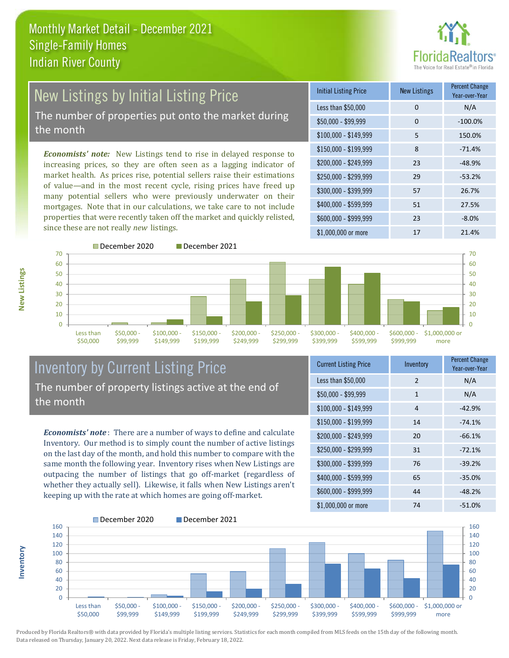

# New Listings by Initial Listing Price The number of properties put onto the market during

the month

*Economists' note:* New Listings tend to rise in delayed response to increasing prices, so they are often seen as a lagging indicator of market health. As prices rise, potential sellers raise their estimations of value—and in the most recent cycle, rising prices have freed up many potential sellers who were previously underwater on their mortgages. Note that in our calculations, we take care to not include properties that were recently taken off the market and quickly relisted, since these are not really *new* listings.

| <b>Initial Listing Price</b> | <b>New Listings</b> | <b>Percent Change</b><br>Year-over-Year |
|------------------------------|---------------------|-----------------------------------------|
| Less than \$50,000           | 0                   | N/A                                     |
| $$50,000 - $99,999$          | $\Omega$            | $-100.0%$                               |
| $$100,000 - $149,999$        | 5                   | 150.0%                                  |
| $$150,000 - $199,999$        | 8                   | $-71.4%$                                |
| \$200,000 - \$249,999        | 23                  | $-48.9%$                                |
| \$250,000 - \$299,999        | 29                  | $-53.2%$                                |
| \$300,000 - \$399,999        | 57                  | 26.7%                                   |
| \$400,000 - \$599,999        | 51                  | 27.5%                                   |
| \$600,000 - \$999,999        | 23                  | $-8.0%$                                 |
| $$1,000,000$ or more         | 17                  | 21.4%                                   |



**Inventory**



#### Inventory by Current Listing Price The number of property listings active at the end of the month

*Economists' note* : There are a number of ways to define and calculate Inventory. Our method is to simply count the number of active listings on the last day of the month, and hold this number to compare with the same month the following year. Inventory rises when New Listings are outpacing the number of listings that go off-market (regardless of whether they actually sell). Likewise, it falls when New Listings aren't keeping up with the rate at which homes are going off-market.

| <b>Current Listing Price</b> | Inventory     | <b>Percent Change</b><br>Year-over-Year |
|------------------------------|---------------|-----------------------------------------|
| Less than \$50,000           | $\mathcal{P}$ | N/A                                     |
| $$50,000 - $99,999$          | 1             | N/A                                     |
| $$100,000 - $149,999$        | 4             | $-42.9%$                                |
| $$150,000 - $199,999$        | 14            | $-74.1%$                                |
| \$200,000 - \$249,999        | 20            | $-66.1%$                                |
| \$250,000 - \$299,999        | 31            | $-72.1%$                                |
| \$300,000 - \$399,999        | 76            | $-39.2%$                                |
| $$400,000 - $599,999$        | 65            | $-35.0%$                                |
| \$600,000 - \$999,999        | 44            | $-48.2%$                                |
| \$1,000,000 or more          | 74            | $-51.0%$                                |